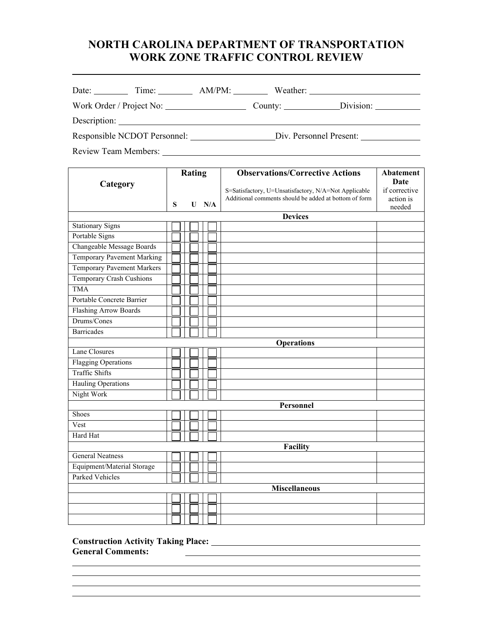# **NORTH CAROLINA DEPARTMENT OF TRANSPORTATION WORK ZONE TRAFFIC CONTROL REVIEW**

| Date:                        | Time:        | $AM/PM$ :               | Weather:                    |           |
|------------------------------|--------------|-------------------------|-----------------------------|-----------|
| Work Order / Project No:     |              |                         | County: $\sqrt{\frac{1}{2}$ | Division: |
|                              | Description: |                         |                             |           |
| Responsible NCDOT Personnel: |              | Div. Personnel Present: |                             |           |

Review Team Members:

| Category                          |   | <b>Rating</b> |  |         | <b>Observations/Corrective Actions</b>                | <b>Abatement</b><br>Date |  |  |
|-----------------------------------|---|---------------|--|---------|-------------------------------------------------------|--------------------------|--|--|
|                                   |   |               |  |         | S=Satisfactory, U=Unsatisfactory, N/A=Not Applicable  | if corrective            |  |  |
|                                   |   |               |  |         | Additional comments should be added at bottom of form | action is                |  |  |
|                                   | S |               |  | $U$ N/A |                                                       | needed                   |  |  |
|                                   |   |               |  |         | <b>Devices</b>                                        |                          |  |  |
| <b>Stationary Signs</b>           |   |               |  |         |                                                       |                          |  |  |
| Portable Signs                    |   |               |  |         |                                                       |                          |  |  |
| Changeable Message Boards         |   |               |  |         |                                                       |                          |  |  |
| Temporary Pavement Marking        |   |               |  |         |                                                       |                          |  |  |
| <b>Temporary Pavement Markers</b> |   |               |  |         |                                                       |                          |  |  |
| <b>Temporary Crash Cushions</b>   |   |               |  |         |                                                       |                          |  |  |
| <b>TMA</b>                        |   |               |  |         |                                                       |                          |  |  |
| Portable Concrete Barrier         |   |               |  |         |                                                       |                          |  |  |
| <b>Flashing Arrow Boards</b>      |   |               |  |         |                                                       |                          |  |  |
| Drums/Cones                       |   |               |  |         |                                                       |                          |  |  |
| <b>Barricades</b>                 |   |               |  |         |                                                       |                          |  |  |
| <b>Operations</b>                 |   |               |  |         |                                                       |                          |  |  |
| <b>Lane Closures</b>              |   |               |  |         |                                                       |                          |  |  |
| <b>Flagging Operations</b>        |   |               |  |         |                                                       |                          |  |  |
| <b>Traffic Shifts</b>             |   |               |  |         |                                                       |                          |  |  |
| <b>Hauling Operations</b>         |   |               |  |         |                                                       |                          |  |  |
| Night Work                        |   |               |  |         |                                                       |                          |  |  |
| Personnel                         |   |               |  |         |                                                       |                          |  |  |
| Shoes                             |   |               |  |         |                                                       |                          |  |  |
| Vest                              |   |               |  |         |                                                       |                          |  |  |
| Hard Hat                          |   |               |  |         |                                                       |                          |  |  |
| Facility                          |   |               |  |         |                                                       |                          |  |  |
| <b>General Neatness</b>           |   |               |  |         |                                                       |                          |  |  |
| Equipment/Material Storage        |   |               |  |         |                                                       |                          |  |  |
| <b>Parked Vehicles</b>            |   |               |  |         |                                                       |                          |  |  |
| <b>Miscellaneous</b>              |   |               |  |         |                                                       |                          |  |  |
|                                   |   |               |  |         |                                                       |                          |  |  |
|                                   |   |               |  |         |                                                       |                          |  |  |
|                                   |   |               |  |         |                                                       |                          |  |  |

<u> 1989 - Johann Stoff, amerikansk politiker (d. 1989)</u>

<u> 1980 - Johann Barbara, martin a</u>

**Construction Activity Taking Place: General Comments:**  <u> 1989 - Johann Harry Harry Harry Harry Harry Harry Harry Harry Harry Harry Harry Harry Harry Harry Harry Harry</u>